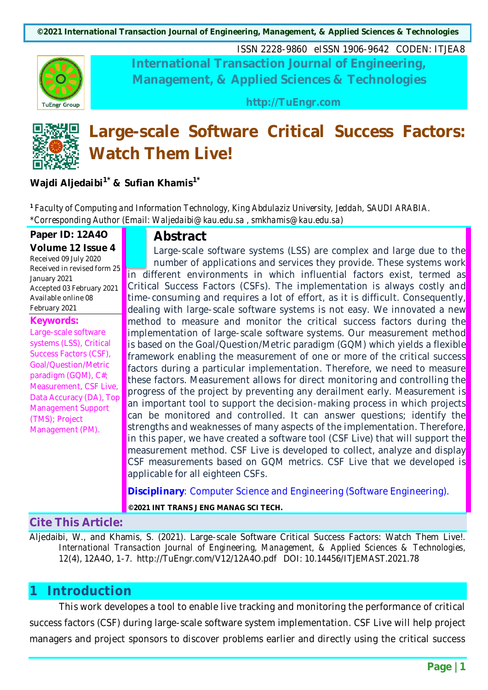**TuEngr Group** 

ISSN 2228-9860 eISSN 1906-9642 CODEN: ITJEA8 **International Transaction Journal of Engineering, Management, & Applied Sciences & Technologies**

**http://TuEngr.com**



# **Large-scale Software Critical Success Factors: Watch Them Live!**

**Wajdi Aljedaibi1\* & Sufian Khamis1\***

*<sup>1</sup> Faculty of Computing and Information Technology, King Abdulaziz University, Jeddah, SAUDI ARABIA. \*Corresponding Author (Email: Waljedaibi@kau.edu.sa , smkhamis@kau.edu.sa)*

#### **Paper ID: 12A4O**

**Volume 12 Issue 4** Received 09 July 2020 Received in revised form 25 January 2021 Accepted 03 February 2021 Available online 08 February 2021

#### **Keywords:**

Large-scale software systems (LSS), Critical Success Factors (CSF), Goal/Question/Metric paradigm (GQM), C#; Measurement, CSF Live, Data Accuracy (DA), Top Management Support (TMS); Project Management (PM).

# **Abstract**

Large-scale software systems (LSS) are complex and large due to the number of applications and services they provide. These systems work in different environments in which influential factors exist, termed as Critical Success Factors (CSFs). The implementation is always costly and time-consuming and requires a lot of effort, as it is difficult. Consequently, dealing with large-scale software systems is not easy. We innovated a new method to measure and monitor the critical success factors during the implementation of large-scale software systems. Our measurement method is based on the Goal/Question/Metric paradigm (GQM) which yields a flexible framework enabling the measurement of one or more of the critical success factors during a particular implementation. Therefore, we need to measure these factors. Measurement allows for direct monitoring and controlling the progress of the project by preventing any derailment early. Measurement is an important tool to support the decision-making process in which projects can be monitored and controlled. It can answer questions; identify the strengths and weaknesses of many aspects of the implementation. Therefore, in this paper, we have created a software tool (CSF Live) that will support the measurement method. CSF Live is developed to collect, analyze and display CSF measurements based on GQM metrics. CSF Live that we developed is applicable for all eighteen CSFs.

**Disciplinary**: Computer Science and Engineering (Software Engineering).

**©2021 INT TRANS J ENG MANAG SCI TECH.**

# **Cite This Article:**

Aljedaibi, W., and Khamis, S. (2021). Large-scale Software Critical Success Factors: Watch Them Live!. *International Transaction Journal of Engineering, Management, & Applied Sciences & Technologies, 12*(4), 12A4O, 1-7. http://TuEngr.com/V12/12A4O.pdf DOI: 10.14456/ITJEMAST.2021.78

# **1 Introduction**

This work developes a tool to enable live tracking and monitoring the performance of critical success factors (CSF) during large-scale software system implementation. CSF Live will help project managers and project sponsors to discover problems earlier and directly using the critical success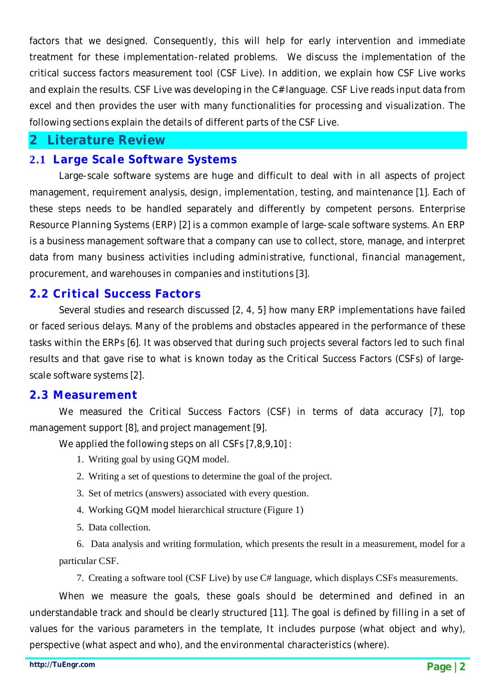factors that we designed. Consequently, this will help for early intervention and immediate treatment for these implementation-related problems. We discuss the implementation of the critical success factors measurement tool (CSF Live). In addition, we explain how CSF Live works and explain the results. CSF Live was developing in the C# language. CSF Live reads input data from excel and then provides the user with many functionalities for processing and visualization. The following sections explain the details of different parts of the CSF Live.

# **2 Literature Review**

#### **2.1 Large Scale Software Systems**

Large-scale software systems are huge and difficult to deal with in all aspects of project management, requirement analysis, design, implementation, testing, and maintenance [1]. Each of these steps needs to be handled separately and differently by competent persons. Enterprise Resource Planning Systems (ERP) [2] is a common example of large-scale software systems. An ERP is a business management software that a company can use to collect, store, manage, and interpret data from many business activities including administrative, functional, financial management, procurement, and warehouses in companies and institutions [3].

# **2.2 Critical Success Factors**

Several studies and research discussed [2, 4, 5] how many ERP implementations have failed or faced serious delays. Many of the problems and obstacles appeared in the performance of these tasks within the ERPs [6]. It was observed that during such projects several factors led to such final results and that gave rise to what is known today as the Critical Success Factors (CSFs) of largescale software systems [2].

#### **2.3 Measurement**

We measured the Critical Success Factors (CSF) in terms of data accuracy [7], top management support [8], and project management [9].

We applied the following steps on all CSFs [7,8,9,10] :

- 1. Writing goal by using GQM model.
- 2. Writing a set of questions to determine the goal of the project.
- 3. Set of metrics (answers) associated with every question.
- 4. Working GQM model hierarchical structure (Figure 1)
- 5. Data collection.

6. Data analysis and writing formulation, which presents the result in a measurement, model for a particular CSF.

7. Creating a software tool (CSF Live) by use C# language, which displays CSFs measurements.

When we measure the goals, these goals should be determined and defined in an understandable track and should be clearly structured [11]. The goal is defined by filling in a set of values for the various parameters in the template, It includes purpose (what object and why), perspective (what aspect and who), and the environmental characteristics (where).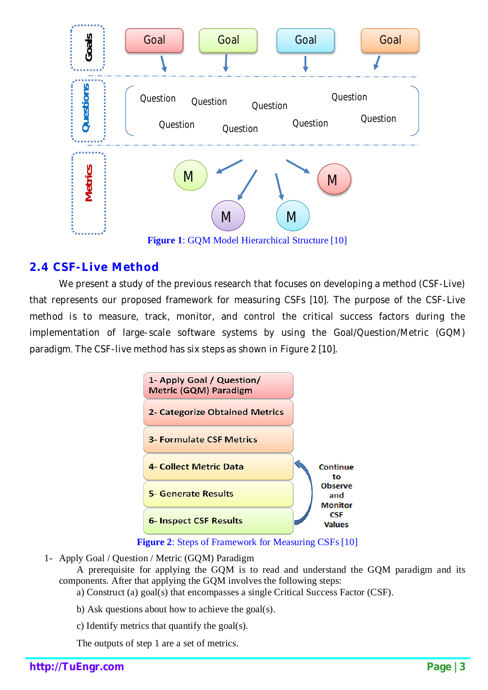

# **2.4 CSF-Live Method**

We present a study of the previous research that focuses on developing a method (CSF-Live) that represents our proposed framework for measuring CSFs [10]. The purpose of the CSF-Live method is to measure, track, monitor, and control the critical success factors during the implementation of large-scale software systems by using the Goal/Question/Metric (GQM) paradigm. The CSF-live method has six steps as shown in Figure 2 [10].



**Figure 2**: Steps of Framework for Measuring CSFs [10]

1- Apply Goal / Question / Metric (GQM) Paradigm

A prerequisite for applying the GQM is to read and understand the GQM paradigm and its components. After that applying the GQM involves the following steps:

- a) Construct (a) goal(s) that encompasses a single Critical Success Factor (CSF).
- b) Ask questions about how to achieve the goal(s).
- c) Identify metrics that quantify the goal(s).

The outputs of step 1 are a set of metrics.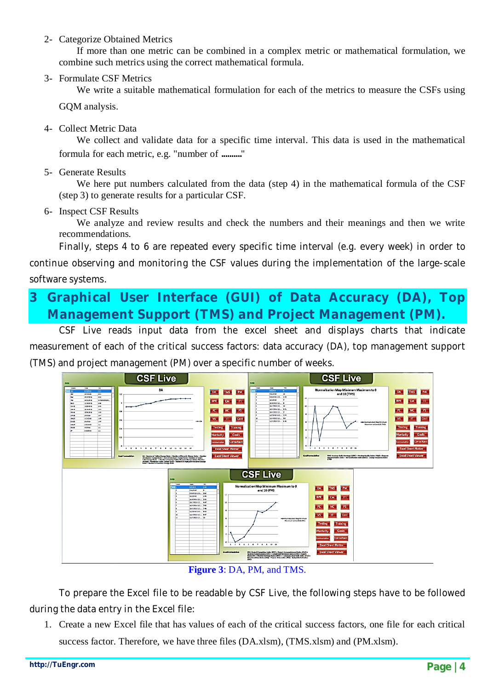#### 2- Categorize Obtained Metrics

If more than one metric can be combined in a complex metric or mathematical formulation, we combine such metrics using the correct mathematical formula.

#### 3- Formulate CSF Metrics

We write a suitable mathematical formulation for each of the metrics to measure the CSFs using

GQM analysis.

4- Collect Metric Data

We collect and validate data for a specific time interval. This data is used in the mathematical formula for each metric, e.g. "number of .........."

5- Generate Results

We here put numbers calculated from the data (step 4) in the mathematical formula of the CSF (step 3) to generate results for a particular CSF.

6- Inspect CSF Results

We analyze and review results and check the numbers and their meanings and then we write recommendations.

Finally, steps 4 to 6 are repeated every specific time interval (e.g. every week) in order to continue observing and monitoring the CSF values during the implementation of the large-scale software systems.

# **3 Graphical User Interface (GUI) of Data Accuracy (DA), Top Management Support (TMS) and Project Management (PM).**

CSF Live reads input data from the excel sheet and displays charts that indicate measurement of each of the critical success factors: data accuracy (DA), top management support (TMS) and project management (PM) over a specific number of weeks.



**Figure 3**: DA, PM, and TMS.

To prepare the Excel file to be readable by CSF Live, the following steps have to be followed during the data entry in the Excel file:

1. Create a new Excel file that has values of each of the critical success factors, one file for each critical success factor. Therefore, we have three files (DA.xlsm), (TMS.xlsm) and (PM.xlsm).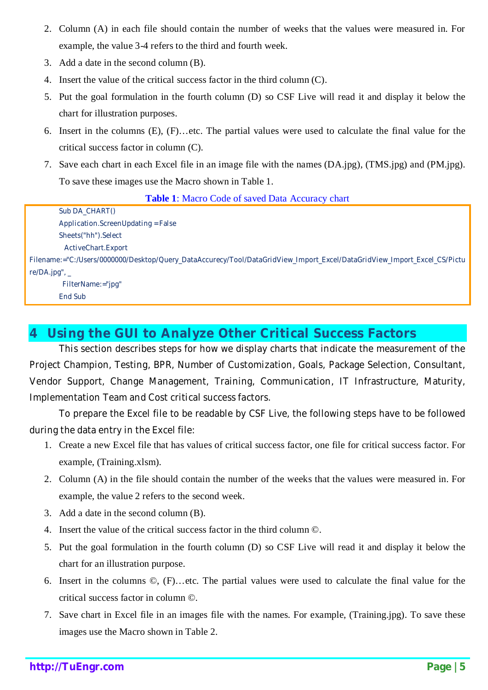- 2. Column (A) in each file should contain the number of weeks that the values were measured in. For example, the value 3-4 refers to the third and fourth week.
- 3. Add a date in the second column (B).
- 4. Insert the value of the critical success factor in the third column (C).
- 5. Put the goal formulation in the fourth column (D) so CSF Live will read it and display it below the chart for illustration purposes.
- 6. Insert in the columns (E), (F)…etc. The partial values were used to calculate the final value for the critical success factor in column (C).
- 7. Save each chart in each Excel file in an image file with the names (DA.jpg), (TMS.jpg) and (PM.jpg). To save these images use the Macro shown in Table 1.

**Table 1**: Macro Code of saved Data Accuracy chart

| Sub DA_CHART()                                                                                                           |
|--------------------------------------------------------------------------------------------------------------------------|
| Application.ScreenUpdating = False                                                                                       |
| Sheets("hh").Select                                                                                                      |
| <b>ActiveChart.Export</b>                                                                                                |
| Filename:="C:/Users/0000000/Desktop/Query_DataAccurecy/Tool/DataGridView_Import_Excel/DataGridView_Import_Excel_CS/Pictu |
| $re/DA.jpg$ ", _                                                                                                         |
| FilterName:="jpg"                                                                                                        |
| <b>End Sub</b>                                                                                                           |
|                                                                                                                          |

# **4 Using the GUI to Analyze Other Critical Success Factors**

This section describes steps for how we display charts that indicate the measurement of the Project Champion, Testing, BPR, Number of Customization, Goals, Package Selection, Consultant, Vendor Support, Change Management, Training, Communication, IT Infrastructure, Maturity, Implementation Team and Cost critical success factors.

To prepare the Excel file to be readable by CSF Live, the following steps have to be followed during the data entry in the Excel file:

- 1. Create a new Excel file that has values of critical success factor, one file for critical success factor. For example, (Training.xlsm).
- 2. Column (A) in the file should contain the number of the weeks that the values were measured in. For example, the value 2 refers to the second week.
- 3. Add a date in the second column (B).
- 4. Insert the value of the critical success factor in the third column ©.
- 5. Put the goal formulation in the fourth column (D) so CSF Live will read it and display it below the chart for an illustration purpose.
- 6. Insert in the columns ©, (F)…etc. The partial values were used to calculate the final value for the critical success factor in column ©.
- 7. Save chart in Excel file in an images file with the names. For example, (Training.jpg). To save these images use the Macro shown in Table 2.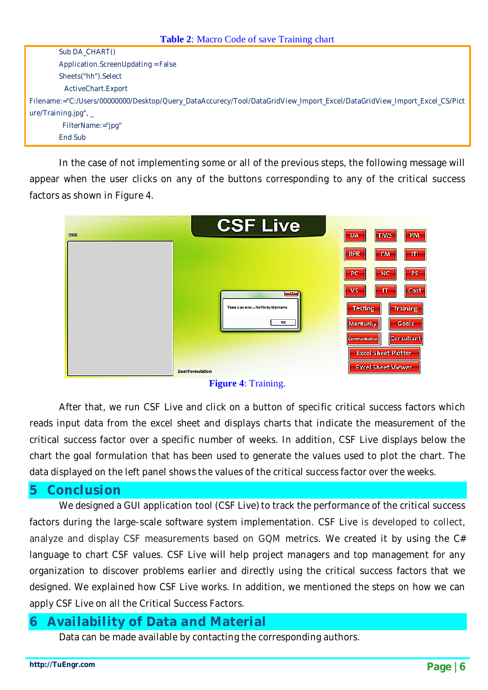| Sub DA_CHART()                                                                                                           |
|--------------------------------------------------------------------------------------------------------------------------|
| Application.ScreenUpdating = False                                                                                       |
| Sheets("hh").Select                                                                                                      |
| ActiveChart.Export                                                                                                       |
| Filename:="C:/Users/00000000/Desktop/Query_DataAccurecy/Tool/DataGridView_Import_Excel/DataGridView_Import_Excel_CS/Pict |
| $ure/Training.jpg$ , _                                                                                                   |
| FilterName:="jpg"                                                                                                        |
| <b>End Sub</b>                                                                                                           |

In the case of not implementing some or all of the previous steps, the following message will appear when the user clicks on any of the buttons corresponding to any of the critical success factors as shown in Figure 4.



**Figure 4**: Training.

After that, we run CSF Live and click on a button of specific critical success factors which reads input data from the excel sheet and displays charts that indicate the measurement of the critical success factor over a specific number of weeks. In addition, CSF Live displays below the chart the goal formulation that has been used to generate the values used to plot the chart. The data displayed on the left panel shows the values of the critical success factor over the weeks.

# **5 Conclusion**

We designed a GUI application tool (CSF Live) to track the performance of the critical success factors during the large-scale software system implementation. CSF Live is developed to collect, analyze and display CSF measurements based on GQM metrics. We created it by using the C# language to chart CSF values. CSF Live will help project managers and top management for any organization to discover problems earlier and directly using the critical success factors that we designed. We explained how CSF Live works. In addition, we mentioned the steps on how we can apply CSF Live on all the Critical Success Factors.

# **6 Availability of Data and Material**

Data can be made available by contacting the corresponding authors.